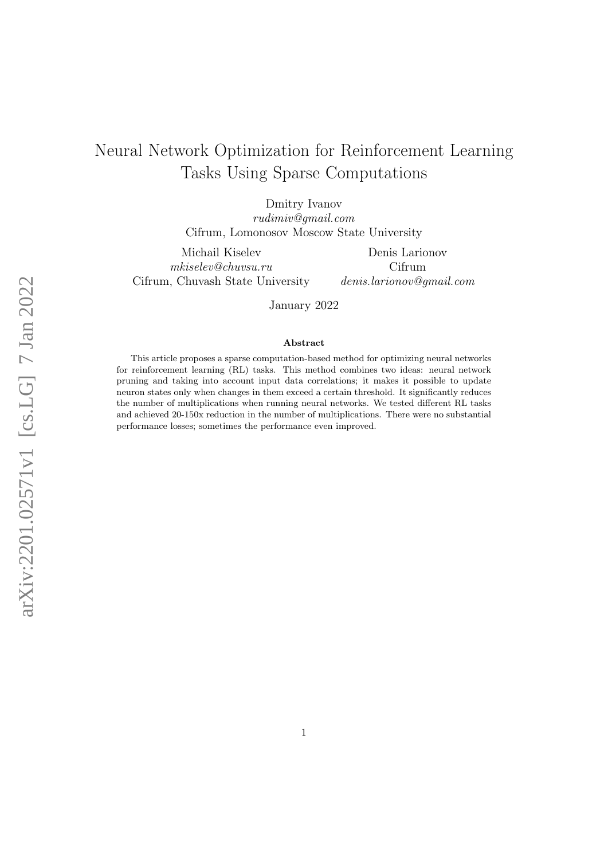# Neural Network Optimization for Reinforcement Learning Tasks Using Sparse Computations

Dmitry Ivanov rudimiv@gmail.com Cifrum, Lomonosov Moscow State University

Michail Kiselev mkiselev@chuvsu.ru Cifrum, Chuvash State University

Denis Larionov Cifrum denis.larionov@gmail.com

January 2022

#### Abstract

This article proposes a sparse computation-based method for optimizing neural networks for reinforcement learning (RL) tasks. This method combines two ideas: neural network pruning and taking into account input data correlations; it makes it possible to update neuron states only when changes in them exceed a certain threshold. It significantly reduces the number of multiplications when running neural networks. We tested different RL tasks and achieved 20-150x reduction in the number of multiplications. There were no substantial performance losses; sometimes the performance even improved.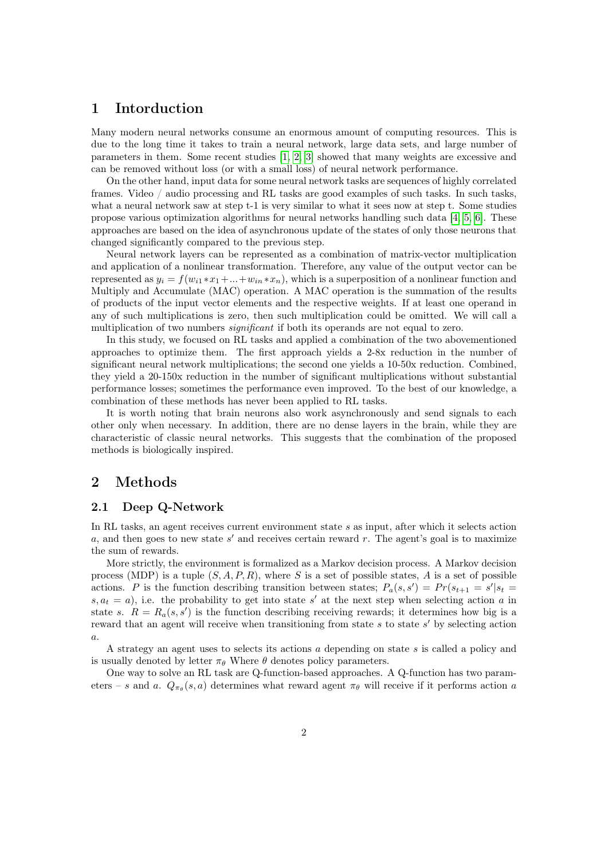# 1 Intorduction

Many modern neural networks consume an enormous amount of computing resources. This is due to the long time it takes to train a neural network, large data sets, and large number of parameters in them. Some recent studies [\[1,](#page-9-0) [2,](#page-9-1) [3\]](#page-9-2) showed that many weights are excessive and can be removed without loss (or with a small loss) of neural network performance.

On the other hand, input data for some neural network tasks are sequences of highly correlated frames. Video / audio processing and RL tasks are good examples of such tasks. In such tasks, what a neural network saw at step t-1 is very similar to what it sees now at step t. Some studies propose various optimization algorithms for neural networks handling such data  $[4, 5, 6]$  $[4, 5, 6]$  $[4, 5, 6]$ . These approaches are based on the idea of asynchronous update of the states of only those neurons that changed significantly compared to the previous step.

Neural network layers can be represented as a combination of matrix-vector multiplication and application of a nonlinear transformation. Therefore, any value of the output vector can be represented as  $y_i = f(w_{i1} * x_1 + ... + w_{in} * x_n)$ , which is a superposition of a nonlinear function and Multiply and Accumulate (MAC) operation. A MAC operation is the summation of the results of products of the input vector elements and the respective weights. If at least one operand in any of such multiplications is zero, then such multiplication could be omitted. We will call a multiplication of two numbers *significant* if both its operands are not equal to zero.

In this study, we focused on RL tasks and applied a combination of the two abovementioned approaches to optimize them. The first approach yields a 2-8x reduction in the number of significant neural network multiplications; the second one yields a 10-50x reduction. Combined, they yield a 20-150x reduction in the number of significant multiplications without substantial performance losses; sometimes the performance even improved. To the best of our knowledge, a combination of these methods has never been applied to RL tasks.

It is worth noting that brain neurons also work asynchronously and send signals to each other only when necessary. In addition, there are no dense layers in the brain, while they are characteristic of classic neural networks. This suggests that the combination of the proposed methods is biologically inspired.

## 2 Methods

### 2.1 Deep Q-Network

In RL tasks, an agent receives current environment state s as input, after which it selects action  $a$ , and then goes to new state  $s'$  and receives certain reward r. The agent's goal is to maximize the sum of rewards.

More strictly, the environment is formalized as a Markov decision process. A Markov decision process (MDP) is a tuple  $(S, A, P, R)$ , where S is a set of possible states, A is a set of possible actions. P is the function describing transition between states;  $P_a(s, s') = Pr(s_{t+1} = s'|s_t = s')$  $s, a_t = a$ , i.e. the probability to get into state s' at the next step when selecting action a in state s.  $R = R_a(s, s')$  is the function describing receiving rewards; it determines how big is a reward that an agent will receive when transitioning from state  $s$  to state  $s'$  by selecting action a.

A strategy an agent uses to selects its actions a depending on state s is called a policy and is usually denoted by letter  $\pi_{\theta}$  Where  $\theta$  denotes policy parameters.

One way to solve an RL task are Q-function-based approaches. A Q-function has two parameters – s and a.  $Q_{\pi_{\theta}}(s, a)$  determines what reward agent  $\pi_{\theta}$  will receive if it performs action a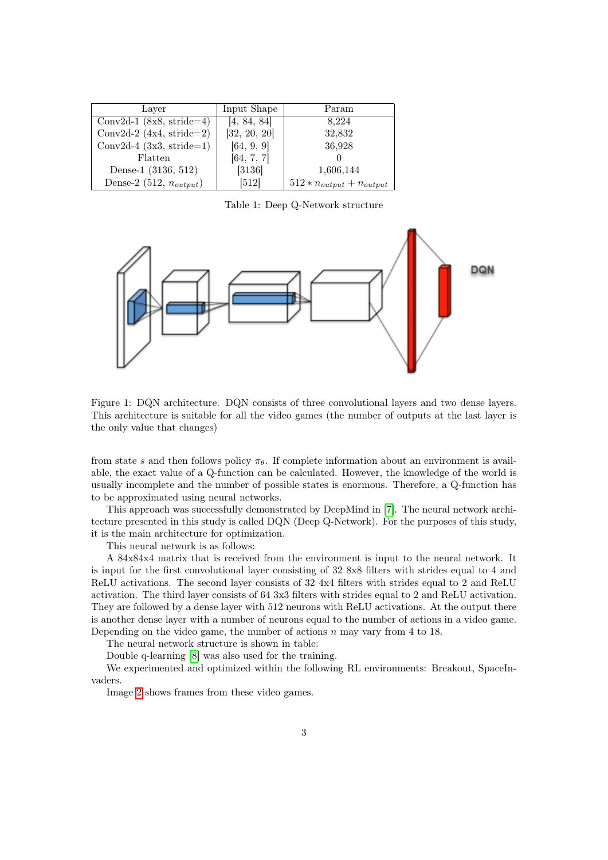| Layer                        | Input Shape  | Param                           |
|------------------------------|--------------|---------------------------------|
| Conv2d-1 $(8x8, stride=4)$   | [4, 84, 84]  | 8,224                           |
| Conv2d-2 $(4x4, stride=2)$   | [32, 20, 20] | 32,832                          |
| Conv2d-4 $(3x3, stride=1)$   | [64, 9, 9]   | 36,928                          |
| Flatten                      | [64, 7, 7]   |                                 |
| Dense-1 (3136, 512)          | [3136]       | 1,606,144                       |
| Dense-2 (512, $n_{output}$ ) | [512]        | $512 * n_{output} + n_{output}$ |

Table 1: Deep Q-Network structure



Figure 1: DQN architecture. DQN consists of three convolutional layers and two dense layers. This architecture is suitable for all the video games (the number of outputs at the last layer is the only value that changes)

from state s and then follows policy  $\pi_{\theta}$ . If complete information about an environment is available, the exact value of a Q-function can be calculated. However, the knowledge of the world is usually incomplete and the number of possible states is enormous. Therefore, a Q-function has to be approximated using neural networks.

This approach was successfully demonstrated by DeepMind in [\[7\]](#page-9-6). The neural network architecture presented in this study is called DQN (Deep Q-Network). For the purposes of this study, it is the main architecture for optimization.

This neural network is as follows:

A 84x84x4 matrix that is received from the environment is input to the neural network. It is input for the first convolutional layer consisting of 32 8x8 filters with strides equal to 4 and ReLU activations. The second layer consists of 32 4x4 filters with strides equal to 2 and ReLU activation. The third layer consists of 64 3x3 filters with strides equal to 2 and ReLU activation. They are followed by a dense layer with 512 neurons with ReLU activations. At the output there is another dense layer with a number of neurons equal to the number of actions in a video game. Depending on the video game, the number of actions  $n$  may vary from 4 to 18.

The neural network structure is shown in table:

Double q-learning [\[8\]](#page-9-7) was also used for the training.

We experimented and optimized within the following RL environments: Breakout, SpaceInvaders.

Image [2](#page-3-0) shows frames from these video games.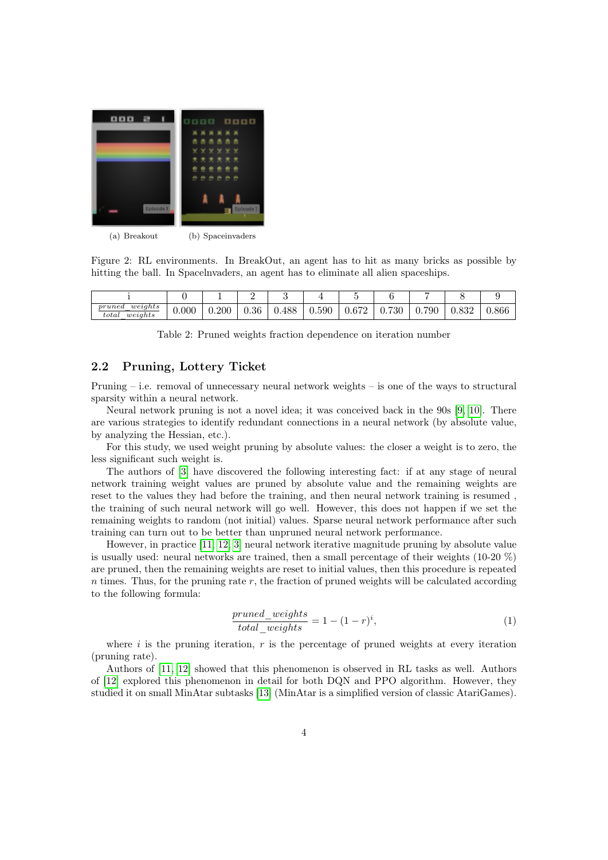

(a) Breakout (b) Spaceinvaders

<span id="page-3-0"></span>Figure 2: RL environments. In BreakOut, an agent has to hit as many bricks as possible by hitting the ball. In Spacelnvaders, an agent has to eliminate all alien spaceships.

|                                            |       |       | —    |       |       |       |           |             |       |       |
|--------------------------------------------|-------|-------|------|-------|-------|-------|-----------|-------------|-------|-------|
| weights<br>pruned<br>weights<br>$_{total}$ | 0.000 | 0.200 | 0.36 | 0.488 | 0.590 | 0.672 | 730<br>v. | 790<br>v. 1 | u.oəz | 0.866 |

Table 2: Pruned weights fraction dependence on iteration number

### 2.2 Pruning, Lottery Ticket

Pruning – i.e. removal of unnecessary neural network weights – is one of the ways to structural sparsity within a neural network.

Neural network pruning is not a novel idea; it was conceived back in the 90s [\[9,](#page-9-8) [10\]](#page-9-9). There are various strategies to identify redundant connections in a neural network (by absolute value, by analyzing the Hessian, etc.).

For this study, we used weight pruning by absolute values: the closer a weight is to zero, the less significant such weight is.

The authors of [\[3\]](#page-9-2) have discovered the following interesting fact: if at any stage of neural network training weight values are pruned by absolute value and the remaining weights are reset to the values they had before the training, and then neural network training is resumed , the training of such neural network will go well. However, this does not happen if we set the remaining weights to random (not initial) values. Sparse neural network performance after such training can turn out to be better than unpruned neural network performance.

However, in practice [\[11,](#page-9-10) [12,](#page-9-11) [3\]](#page-9-2) neural network iterative magnitude pruning by absolute value is usually used: neural networks are trained, then a small percentage of their weights (10-20 %) are pruned, then the remaining weights are reset to initial values, then this procedure is repeated  $n$  times. Thus, for the pruning rate  $r$ , the fraction of pruned weights will be calculated according to the following formula:

$$
\frac{pruned\_weights}{total\_weights} = 1 - (1 - r)^i,\tag{1}
$$

where  $i$  is the pruning iteration,  $r$  is the percentage of pruned weights at every iteration (pruning rate).

Authors of [\[11,](#page-9-10) [12\]](#page-9-11) showed that this phenomenon is observed in RL tasks as well. Authors of [\[12\]](#page-9-11) explored this phenomenon in detail for both DQN and PPO algorithm. However, they studied it on small MinAtar subtasks [\[13\]](#page-9-12) (MinAtar is a simplified version of classic AtariGames).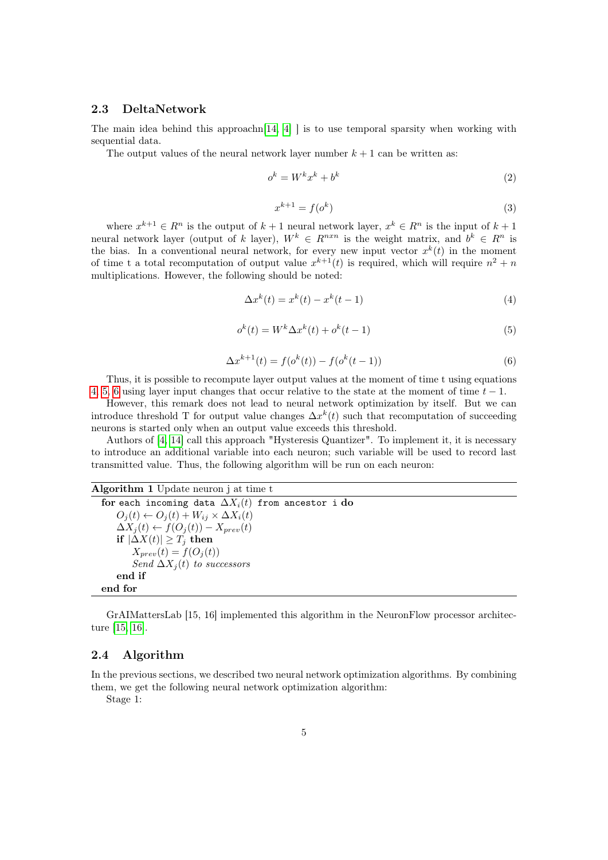## 2.3 DeltaNetwork

The main idea behind this approachn $[14, 4]$  $[14, 4]$  is to use temporal sparsity when working with sequential data.

The output values of the neural network layer number  $k + 1$  can be written as:

$$
o^k = W^k x^k + b^k \tag{2}
$$

$$
x^{k+1} = f(o^k)
$$
\n<sup>(3)</sup>

where  $x^{k+1} \in R^n$  is the output of  $k+1$  neural network layer,  $x^k \in R^n$  is the input of  $k+1$ neural network layer (output of k layer),  $W^k \in R^{n x n}$  is the weight matrix, and  $b^k \in R^n$  is the bias. In a conventional neural network, for every new input vector  $x^k(t)$  in the moment of time t a total recomputation of output value  $x^{k+1}(t)$  is required, which will require  $n^2 + n$ multiplications. However, the following should be noted:

<span id="page-4-0"></span>
$$
\Delta x^{k}(t) = x^{k}(t) - x^{k}(t-1)
$$
\n(4)

<span id="page-4-1"></span>
$$
o^k(t) = W^k \Delta x^k(t) + o^k(t-1)
$$
\n
$$
(5)
$$

<span id="page-4-2"></span>
$$
\Delta x^{k+1}(t) = f(o^k(t)) - f(o^k(t-1))
$$
\n(6)

Thus, it is possible to recompute layer output values at the moment of time t using equations [4,](#page-4-0) [5,](#page-4-1) [6](#page-4-2) using layer input changes that occur relative to the state at the moment of time  $t - 1$ .

However, this remark does not lead to neural network optimization by itself. But we can introduce threshold T for output value changes  $\Delta x^k(t)$  such that recomputation of succeeding neurons is started only when an output value exceeds this threshold.

Authors of [\[4,](#page-9-3) [14\]](#page-9-13) call this approach "Hysteresis Quantizer". To implement it, it is necessary to introduce an additional variable into each neuron; such variable will be used to record last transmitted value. Thus, the following algorithm will be run on each neuron:

#### Algorithm 1 Update neuron j at time t

```
for each incoming data \Delta X_i(t) from ancestor i do
    O_i(t) \leftarrow O_i(t) + W_{ij} \times \Delta X_i(t)\Delta X_j(t) \leftarrow f(O_j(t)) - X_{prev}(t)if |\Delta X(t)| ≥ T_i then
        X_{prev}(t) = f(O_i(t))Send \Delta X_i(t) to successors
    end if
end for
```
GrAIMattersLab [15, 16] implemented this algorithm in the NeuronFlow processor architecture [\[15,](#page-9-14) [16\]](#page-9-15).

## 2.4 Algorithm

In the previous sections, we described two neural network optimization algorithms. By combining them, we get the following neural network optimization algorithm:

Stage 1: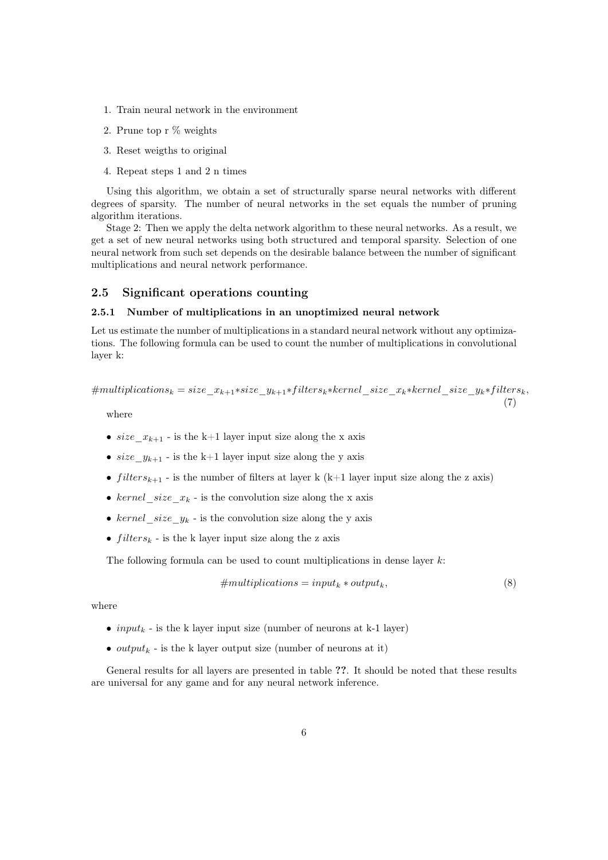- 1. Train neural network in the environment
- 2. Prune top r % weights
- 3. Reset weigths to original
- 4. Repeat steps 1 and 2 n times

Using this algorithm, we obtain a set of structurally sparse neural networks with different degrees of sparsity. The number of neural networks in the set equals the number of pruning algorithm iterations.

Stage 2: Then we apply the delta network algorithm to these neural networks. As a result, we get a set of new neural networks using both structured and temporal sparsity. Selection of one neural network from such set depends on the desirable balance between the number of significant multiplications and neural network performance.

### 2.5 Significant operations counting

#### 2.5.1 Number of multiplications in an unoptimized neural network

Let us estimate the number of multiplications in a standard neural network without any optimizations. The following formula can be used to count the number of multiplications in convolutional layer k:

$$
\#multiplications_k = size\_x_{k+1} * size\_y_{k+1} * filters_k * kernel\_size\_x_k * kernel\_size\_y_k * filters_k,
$$
\n(7)

where

- size  $x_{k+1}$  is the k+1 layer input size along the x axis
- size  $y_{k+1}$  is the k+1 layer input size along the y axis
- filters $k+1$  is the number of filters at layer k (k+1 layer input size along the z axis)
- kernel size  $x_k$  is the convolution size along the x axis
- kernel\_size\_y<sub>k</sub> is the convolution size along the y axis
- $filters_k$  is the k layer input size along the z axis

The following formula can be used to count multiplications in dense layer k:

#multiplications = input<sup>k</sup> ∗ outputk, (8)

where

- input<sub>k</sub> is the k layer input size (number of neurons at k-1 layer)
- *output<sub>k</sub>* is the k layer output size (number of neurons at it)

General results for all layers are presented in table ??. It should be noted that these results are universal for any game and for any neural network inference.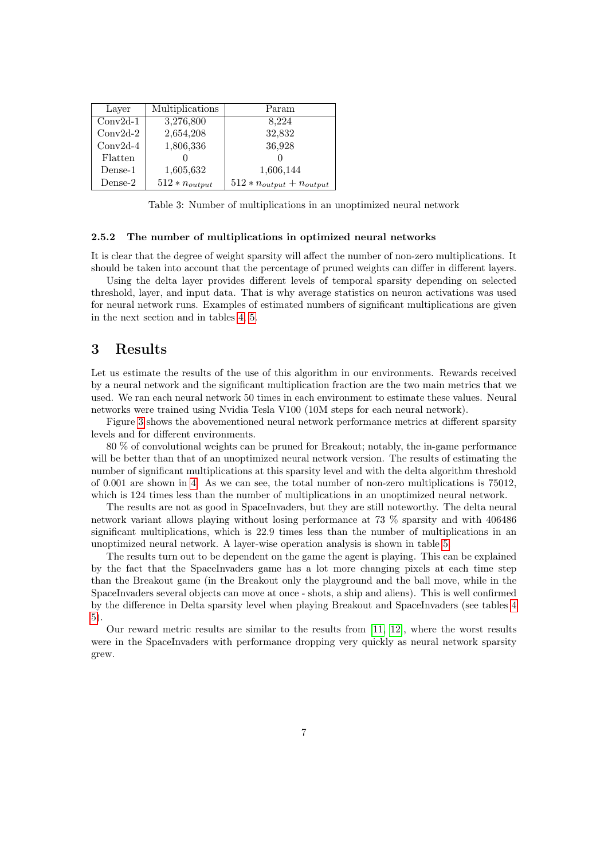| Layer      | Multiplications    | Param                           |
|------------|--------------------|---------------------------------|
| $Conv2d-1$ | 3,276,800          | 8,224                           |
| $Conv2d-2$ | 2,654,208          | 32,832                          |
| $Conv2d-4$ | 1,806,336          | 36,928                          |
| Flatten    |                    |                                 |
| $Dense-1$  | 1,605,632          | 1,606,144                       |
| $Dense-2$  | $512 * n_{output}$ | $512 * n_{output} + n_{output}$ |

Table 3: Number of multiplications in an unoptimized neural network

#### 2.5.2 The number of multiplications in optimized neural networks

It is clear that the degree of weight sparsity will affect the number of non-zero multiplications. It should be taken into account that the percentage of pruned weights can differ in different layers.

Using the delta layer provides different levels of temporal sparsity depending on selected threshold, layer, and input data. That is why average statistics on neuron activations was used for neural network runs. Examples of estimated numbers of significant multiplications are given in the next section and in tables [4,](#page-8-0) [5.](#page-8-1)

## 3 Results

Let us estimate the results of the use of this algorithm in our environments. Rewards received by a neural network and the significant multiplication fraction are the two main metrics that we used. We ran each neural network 50 times in each environment to estimate these values. Neural networks were trained using Nvidia Tesla V100 (10M steps for each neural network).

Figure [3](#page-7-0) shows the abovementioned neural network performance metrics at different sparsity levels and for different environments.

80 % of convolutional weights can be pruned for Breakout; notably, the in-game performance will be better than that of an unoptimized neural network version. The results of estimating the number of significant multiplications at this sparsity level and with the delta algorithm threshold of 0.001 are shown in [4.](#page-8-0) As we can see, the total number of non-zero multiplications is 75012, which is 124 times less than the number of multiplications in an unoptimized neural network.

The results are not as good in SpaceInvaders, but they are still noteworthy. The delta neural network variant allows playing without losing performance at 73 % sparsity and with 406486 significant multiplications, which is 22.9 times less than the number of multiplications in an unoptimized neural network. A layer-wise operation analysis is shown in table [5.](#page-8-1)

The results turn out to be dependent on the game the agent is playing. This can be explained by the fact that the SpaceInvaders game has a lot more changing pixels at each time step than the Breakout game (in the Breakout only the playground and the ball move, while in the SpaceInvaders several objects can move at once - shots, a ship and aliens). This is well confirmed by the difference in Delta sparsity level when playing Breakout and SpaceInvaders (see tables [4](#page-8-0) [5\)](#page-8-1).

Our reward metric results are similar to the results from [\[11,](#page-9-10) [12\]](#page-9-11), where the worst results were in the SpaceInvaders with performance dropping very quickly as neural network sparsity grew.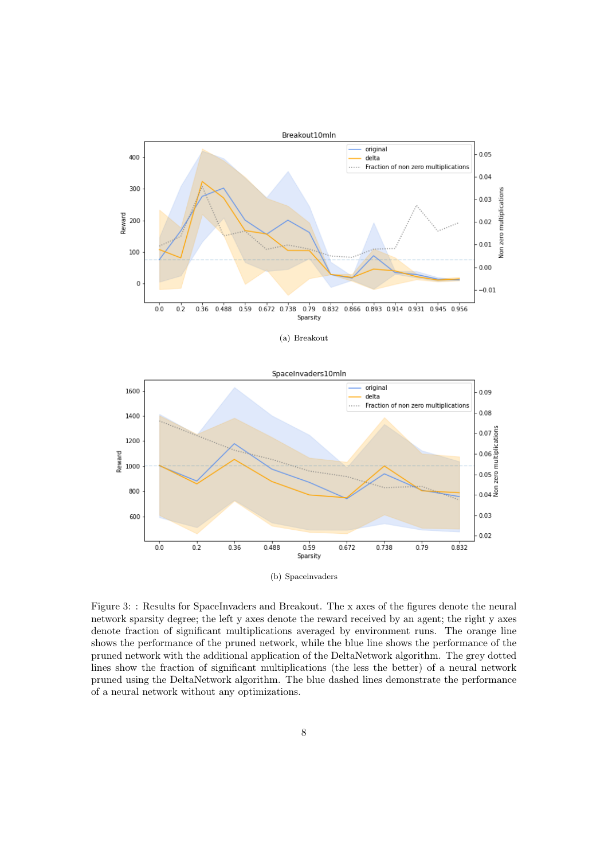

(a) Breakout



<span id="page-7-0"></span>Figure 3: : Results for SpaceInvaders and Breakout. The x axes of the figures denote the neural network sparsity degree; the left y axes denote the reward received by an agent; the right y axes denote fraction of significant multiplications averaged by environment runs. The orange line shows the performance of the pruned network, while the blue line shows the performance of the pruned network with the additional application of the DeltaNetwork algorithm. The grey dotted lines show the fraction of significant multiplications (the less the better) of a neural network pruned using the DeltaNetwork algorithm. The blue dashed lines demonstrate the performance of a neural network without any optimizations.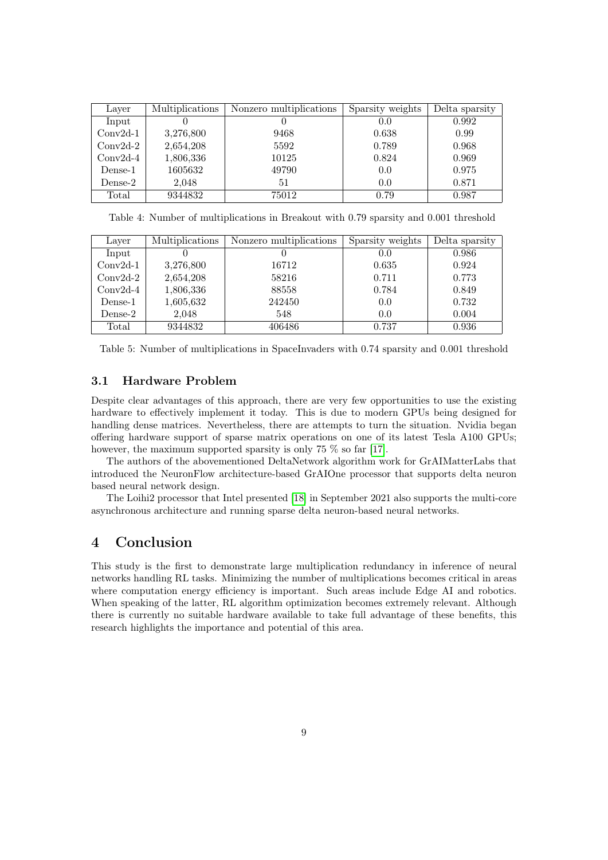| Layer      | Multiplications | Nonzero multiplications | Sparsity weights | Delta sparsity |
|------------|-----------------|-------------------------|------------------|----------------|
| Input      |                 |                         | 0.0              | 0.992          |
| $Conv2d-1$ | 3,276,800       | 9468                    | 0.638            | 0.99           |
| $Conv2d-2$ | 2,654,208       | 5592                    | 0.789            | 0.968          |
| $Conv2d-4$ | 1,806,336       | 10125                   | 0.824            | 0.969          |
| Dense-1    | 1605632         | 49790                   | 0.0              | 0.975          |
| Dense-2    | 2,048           | 51                      | 0.0              | 0.871          |
| Total      | 9344832         | 75012                   | 0.79             | 0.987          |

<span id="page-8-0"></span>Table 4: Number of multiplications in Breakout with 0.79 sparsity and 0.001 threshold

| Layer      | Multiplications | Nonzero multiplications | Sparsity weights | Delta sparsity |
|------------|-----------------|-------------------------|------------------|----------------|
| Input      |                 |                         | 0.0              | 0.986          |
| $Conv2d-1$ | 3,276,800       | 16712                   | 0.635            | 0.924          |
| $Conv2d-2$ | 2,654,208       | 58216                   | 0.711            | 0.773          |
| $Conv2d-4$ | 1,806,336       | 88558                   | 0.784            | 0.849          |
| Dense-1    | 1,605,632       | 242450                  | 0.0              | 0.732          |
| Dense-2    | 2,048           | 548                     | 0.0              | 0.004          |
| Total      | 9344832         | 406486                  | 0.737            | 0.936          |

<span id="page-8-1"></span>Table 5: Number of multiplications in SpaceInvaders with 0.74 sparsity and 0.001 threshold

## 3.1 Hardware Problem

Despite clear advantages of this approach, there are very few opportunities to use the existing hardware to effectively implement it today. This is due to modern GPUs being designed for handling dense matrices. Nevertheless, there are attempts to turn the situation. Nvidia began offering hardware support of sparse matrix operations on one of its latest Tesla A100 GPUs; however, the maximum supported sparsity is only 75 % so far [\[17\]](#page-9-16).

The authors of the abovementioned DeltaNetwork algorithm work for GrAIMatterLabs that introduced the NeuronFlow architecture-based GrAIOne processor that supports delta neuron based neural network design.

The Loihi2 processor that Intel presented [\[18\]](#page-9-17) in September 2021 also supports the multi-core asynchronous architecture and running sparse delta neuron-based neural networks.

# 4 Conclusion

This study is the first to demonstrate large multiplication redundancy in inference of neural networks handling RL tasks. Minimizing the number of multiplications becomes critical in areas where computation energy efficiency is important. Such areas include Edge AI and robotics. When speaking of the latter, RL algorithm optimization becomes extremely relevant. Although there is currently no suitable hardware available to take full advantage of these benefits, this research highlights the importance and potential of this area.